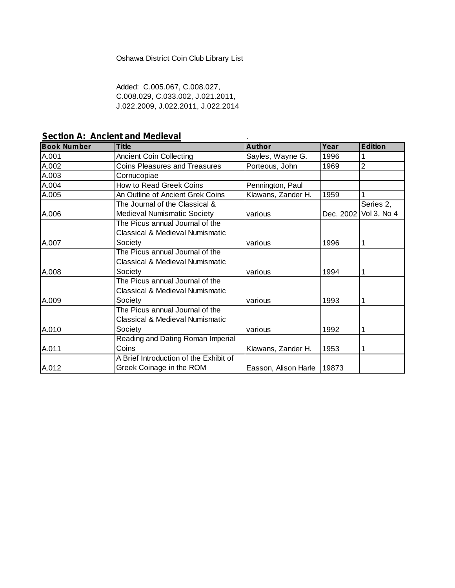#### Oshawa District Coin Club Library List

Added: C.005.067, C.008.027, C.008.029, C.033.002, J.021.2011, J.022.2009, J.022.2011, J.022.2014

**Section A: Ancient and Medieval**

| <b>Book Number</b> | <b>Title</b>                           | <b>Author</b>        | Year  | <b>Edition</b>        |
|--------------------|----------------------------------------|----------------------|-------|-----------------------|
| A.001              | <b>Ancient Coin Collecting</b>         | Sayles, Wayne G.     | 1996  |                       |
| A.002              | <b>Coins Pleasures and Treasures</b>   | Porteous, John       | 1969  | $\overline{2}$        |
| A.003              | Cornucopiae                            |                      |       |                       |
| A.004              | How to Read Greek Coins                | Pennington, Paul     |       |                       |
| A.005              | An Outline of Ancient Grek Coins       | Klawans, Zander H.   | 1959  |                       |
|                    | The Journal of the Classical &         |                      |       | Series 2,             |
| A.006              | <b>Medieval Numismatic Society</b>     | various              |       | Dec. 2002 Vol 3, No 4 |
|                    | The Picus annual Journal of the        |                      |       |                       |
|                    | Classical & Medieval Numismatic        |                      |       |                       |
| A.007              | Society                                | various              | 1996  |                       |
|                    | The Picus annual Journal of the        |                      |       |                       |
|                    | Classical & Medieval Numismatic        |                      |       |                       |
| A.008              | Societv                                | various              | 1994  |                       |
|                    | The Picus annual Journal of the        |                      |       |                       |
|                    | Classical & Medieval Numismatic        |                      |       |                       |
| A.009              | Society                                | various              | 1993  |                       |
|                    | The Picus annual Journal of the        |                      |       |                       |
|                    | Classical & Medieval Numismatic        |                      |       |                       |
| A.010              | Society                                | various              | 1992  |                       |
|                    | Reading and Dating Roman Imperial      |                      |       |                       |
| A.011              | Coins                                  | Klawans, Zander H.   | 1953  |                       |
|                    | A Brief Introduction of the Exhibit of |                      |       |                       |
| A.012              | Greek Coinage in the ROM               | Easson, Alison Harle | 19873 |                       |

.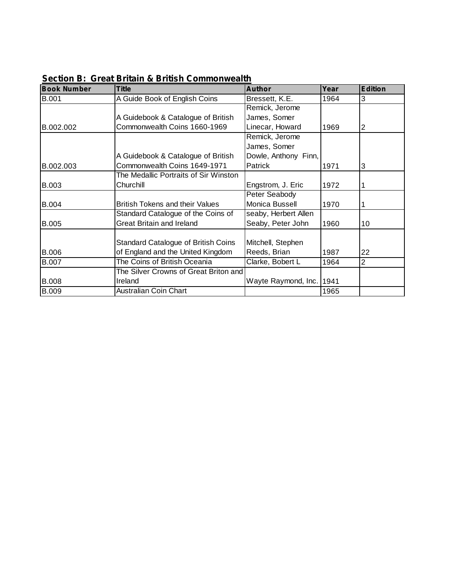| <b>Book Number</b> | Title                                 | <b>Author</b>        | Year | <b>Edition</b> |
|--------------------|---------------------------------------|----------------------|------|----------------|
| <b>B.001</b>       | A Guide Book of English Coins         | Bressett, K.E.       | 1964 | 3              |
|                    |                                       | Remick, Jerome       |      |                |
|                    | A Guidebook & Catalogue of British    | James, Somer         |      |                |
| B.002.002          | Commonwealth Coins 1660-1969          | Linecar, Howard      | 1969 | 2              |
|                    |                                       | Remick, Jerome       |      |                |
|                    |                                       | James, Somer         |      |                |
|                    | A Guidebook & Catalogue of British    | Dowle, Anthony Finn, |      |                |
| B.002.003          | Commonwealth Coins 1649-1971          | <b>Patrick</b>       | 1971 | 3              |
|                    | The Medallic Portraits of Sir Winston |                      |      |                |
| <b>B.003</b>       | Churchill                             | Engstrom, J. Eric    | 1972 |                |
|                    |                                       | Peter Seabody        |      |                |
| <b>B.004</b>       | British Tokens and their Values       | Monica Bussell       | 1970 |                |
|                    | Standard Catalogue of the Coins of    | seaby, Herbert Allen |      |                |
| <b>B.005</b>       | <b>Great Britain and Ireland</b>      | Seaby, Peter John    | 1960 | 10             |
|                    |                                       |                      |      |                |
|                    | Standard Catalogue of British Coins   | Mitchell, Stephen    |      |                |
| <b>B.006</b>       | of England and the United Kingdom     | Reeds, Brian         | 1987 | 22             |
| <b>B.007</b>       | The Coins of British Oceania          | Clarke, Bobert L     | 1964 | 2              |
|                    | The Silver Crowns of Great Briton and |                      |      |                |
| <b>B.008</b>       | Ireland                               | Wayte Raymond, Inc.  | 1941 |                |
| <b>B.009</b>       | Australian Coin Chart                 |                      | 1965 |                |

**Section B: Great Britain & British Commonwealth**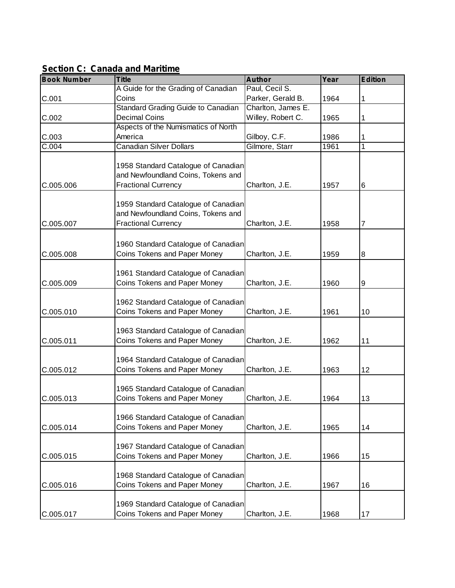| <b>Book Number</b> | <b>Title</b>                        | <b>Author</b>      | Year | <b>Edition</b> |
|--------------------|-------------------------------------|--------------------|------|----------------|
|                    | A Guide for the Grading of Canadian | Paul, Cecil S.     |      |                |
| C.001              | Coins                               | Parker, Gerald B.  | 1964 | 1              |
|                    | Standard Grading Guide to Canadian  | Charlton, James E. |      |                |
| C.002              | <b>Decimal Coins</b>                | Willey, Robert C.  | 1965 | 1              |
|                    | Aspects of the Numismatics of North |                    |      |                |
| C.003              | America                             | Gilboy, C.F.       | 1986 | 1              |
| C.004              | <b>Canadian Silver Dollars</b>      | Gilmore, Starr     | 1961 | $\mathbf{1}$   |
|                    |                                     |                    |      |                |
|                    | 1958 Standard Catalogue of Canadian |                    |      |                |
|                    | and Newfoundland Coins, Tokens and  |                    |      |                |
| C.005.006          | <b>Fractional Currency</b>          | Charlton, J.E.     | 1957 | 6              |
|                    |                                     |                    |      |                |
|                    | 1959 Standard Catalogue of Canadian |                    |      |                |
|                    | and Newfoundland Coins, Tokens and  |                    |      |                |
| C.005.007          | <b>Fractional Currency</b>          | Charlton, J.E.     | 1958 | 7              |
|                    |                                     |                    |      |                |
|                    | 1960 Standard Catalogue of Canadian |                    |      |                |
| C.005.008          | Coins Tokens and Paper Money        | Charlton, J.E.     | 1959 | 8              |
|                    |                                     |                    |      |                |
|                    | 1961 Standard Catalogue of Canadian |                    |      |                |
| C.005.009          | Coins Tokens and Paper Money        | Charlton, J.E.     | 1960 | 9              |
|                    | 1962 Standard Catalogue of Canadian |                    |      |                |
| C.005.010          | Coins Tokens and Paper Money        | Charlton, J.E.     | 1961 | 10             |
|                    |                                     |                    |      |                |
|                    | 1963 Standard Catalogue of Canadian |                    |      |                |
| C.005.011          | Coins Tokens and Paper Money        | Charlton, J.E.     | 1962 | 11             |
|                    |                                     |                    |      |                |
|                    | 1964 Standard Catalogue of Canadian |                    |      |                |
| C.005.012          | Coins Tokens and Paper Money        | Charlton, J.E.     | 1963 | 12             |
|                    |                                     |                    |      |                |
|                    | 1965 Standard Catalogue of Canadian |                    |      |                |
| C.005.013          | Coins Tokens and Paper Money        | Charlton, J.E.     | 1964 | 13             |
|                    |                                     |                    |      |                |
|                    | 1966 Standard Catalogue of Canadian |                    |      |                |
| C.005.014          | Coins Tokens and Paper Money        | Charlton, J.E.     | 1965 | 14             |
|                    |                                     |                    |      |                |
|                    | 1967 Standard Catalogue of Canadian |                    |      |                |
| C.005.015          | Coins Tokens and Paper Money        | Charlton, J.E.     | 1966 | 15             |
|                    |                                     |                    |      |                |
|                    | 1968 Standard Catalogue of Canadian |                    |      |                |
| C.005.016          | Coins Tokens and Paper Money        | Charlton, J.E.     | 1967 | 16             |
|                    | 1969 Standard Catalogue of Canadian |                    |      |                |
| C.005.017          | Coins Tokens and Paper Money        | Charlton, J.E.     | 1968 | 17             |
|                    |                                     |                    |      |                |

**Section C: Canada and Maritime**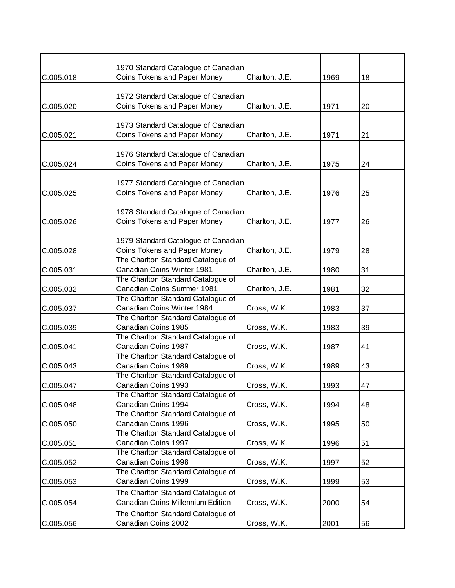|           | 1970 Standard Catalogue of Canadian |                |      |    |
|-----------|-------------------------------------|----------------|------|----|
| C.005.018 | Coins Tokens and Paper Money        | Charlton, J.E. | 1969 | 18 |
|           |                                     |                |      |    |
|           | 1972 Standard Catalogue of Canadian |                |      |    |
| C.005.020 | Coins Tokens and Paper Money        | Charlton, J.E. | 1971 | 20 |
|           |                                     |                |      |    |
|           | 1973 Standard Catalogue of Canadian |                |      |    |
| C.005.021 | Coins Tokens and Paper Money        | Charlton, J.E. | 1971 | 21 |
|           |                                     |                |      |    |
|           | 1976 Standard Catalogue of Canadian |                |      |    |
| C.005.024 | Coins Tokens and Paper Money        | Charlton, J.E. | 1975 | 24 |
|           |                                     |                |      |    |
|           | 1977 Standard Catalogue of Canadian |                |      |    |
| C.005.025 | Coins Tokens and Paper Money        | Charlton, J.E. | 1976 | 25 |
|           |                                     |                |      |    |
|           | 1978 Standard Catalogue of Canadian |                |      |    |
| C.005.026 | Coins Tokens and Paper Money        | Charlton, J.E. | 1977 | 26 |
|           |                                     |                |      |    |
|           | 1979 Standard Catalogue of Canadian |                |      |    |
| C.005.028 | Coins Tokens and Paper Money        | Charlton, J.E. | 1979 | 28 |
|           | The Charlton Standard Catalogue of  |                |      |    |
| C.005.031 | Canadian Coins Winter 1981          | Charlton, J.E. | 1980 | 31 |
|           | The Charlton Standard Catalogue of  |                |      |    |
| C.005.032 | Canadian Coins Summer 1981          | Charlton, J.E. | 1981 | 32 |
|           | The Charlton Standard Catalogue of  |                |      |    |
| C.005.037 | Canadian Coins Winter 1984          | Cross, W.K.    | 1983 | 37 |
|           | The Charlton Standard Catalogue of  |                |      |    |
| C.005.039 | Canadian Coins 1985                 | Cross, W.K.    | 1983 | 39 |
|           | The Charlton Standard Catalogue of  |                |      |    |
| C.005.041 | Canadian Coins 1987                 | Cross, W.K.    | 1987 | 41 |
|           | The Charlton Standard Catalogue of  |                |      |    |
| C.005.043 | Canadian Coins 1989                 | Cross, W.K.    | 1989 | 43 |
|           | The Charlton Standard Catalogue of  |                |      |    |
| C.005.047 | Canadian Coins 1993                 | Cross, W.K.    | 1993 | 47 |
|           | The Charlton Standard Catalogue of  |                |      |    |
| C.005.048 | Canadian Coins 1994                 | Cross, W.K.    | 1994 | 48 |
|           | The Charlton Standard Catalogue of  |                |      |    |
| C.005.050 | Canadian Coins 1996                 | Cross, W.K.    | 1995 | 50 |
|           | The Charlton Standard Catalogue of  |                |      |    |
| C.005.051 | Canadian Coins 1997                 | Cross, W.K.    | 1996 | 51 |
|           | The Charlton Standard Catalogue of  |                |      |    |
| C.005.052 | Canadian Coins 1998                 | Cross, W.K.    | 1997 | 52 |
|           | The Charlton Standard Catalogue of  |                |      |    |
| C.005.053 | Canadian Coins 1999                 | Cross, W.K.    | 1999 | 53 |
|           | The Charlton Standard Catalogue of  |                |      |    |
| C.005.054 | Canadian Coins Millennium Edition   | Cross, W.K.    | 2000 | 54 |
|           | The Charlton Standard Catalogue of  |                |      |    |
| C.005.056 | Canadian Coins 2002                 | Cross, W.K.    | 2001 | 56 |
|           |                                     |                |      |    |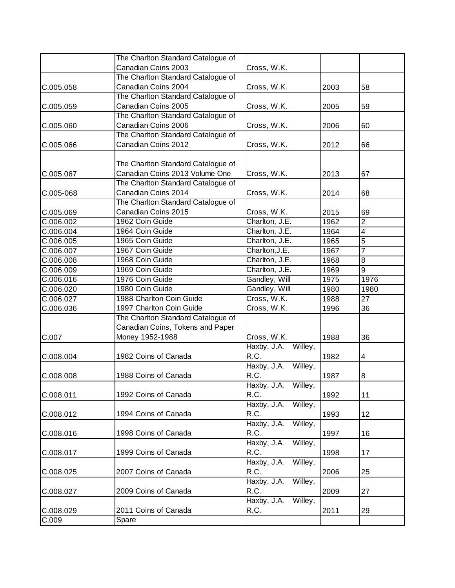|           | The Charlton Standard Catalogue of |                        |      |                |
|-----------|------------------------------------|------------------------|------|----------------|
|           | Canadian Coins 2003                | Cross, W.K.            |      |                |
|           | The Charlton Standard Catalogue of |                        |      |                |
| C.005.058 | Canadian Coins 2004                | Cross, W.K.            | 2003 | 58             |
|           | The Charlton Standard Catalogue of |                        |      |                |
| C.005.059 | Canadian Coins 2005                | Cross, W.K.            | 2005 | 59             |
|           | The Charlton Standard Catalogue of |                        |      |                |
| C.005.060 | Canadian Coins 2006                | Cross, W.K.            | 2006 | 60             |
|           | The Charlton Standard Catalogue of |                        |      |                |
| C.005.066 | Canadian Coins 2012                | Cross, W.K.            | 2012 | 66             |
|           |                                    |                        |      |                |
|           | The Charlton Standard Catalogue of |                        |      |                |
| C.005.067 | Canadian Coins 2013 Volume One     | Cross, W.K.            | 2013 | 67             |
|           | The Charlton Standard Catalogue of |                        |      |                |
| C.005-068 | Canadian Coins 2014                | Cross, W.K.            | 2014 | 68             |
|           | The Charlton Standard Catalogue of |                        |      |                |
| C.005.069 | Canadian Coins 2015                | Cross, W.K.            | 2015 | 69             |
| C.006.002 | 1962 Coin Guide                    | Charlton, J.E.         | 1962 | $\overline{2}$ |
| C.006.004 | 1964 Coin Guide                    | Charlton, J.E.         | 1964 | $\overline{4}$ |
| C.006.005 | 1965 Coin Guide                    | Charlton, J.E.         | 1965 | 5              |
| C.006.007 | 1967 Coin Guide                    | Charlton, J.E.         | 1967 | $\overline{7}$ |
| C.006.008 | 1968 Coin Guide                    | Charlton, J.E.         | 1968 | 8              |
| C.006.009 | 1969 Coin Guide                    | Charlton, J.E.         | 1969 | 9              |
| C.006.016 | 1976 Coin Guide                    | Gandley, Will          | 1975 | 1976           |
| C.006.020 | 1980 Coin Guide                    | Gandley, Will          | 1980 | 1980           |
| C.006.027 | 1988 Charlton Coin Guide           | Cross, W.K.            | 1988 | 27             |
| C.006.036 | 1997 Charlton Coin Guide           | Cross, W.K.            | 1996 | 36             |
|           | The Charlton Standard Catalogue of |                        |      |                |
|           | Canadian Coins, Tokens and Paper   |                        |      |                |
| C.007     | Money 1952-1988                    | Cross, W.K.            | 1988 | 36             |
|           |                                    | Haxby, J.A. Willey,    |      |                |
| C.008.004 | 1982 Coins of Canada               | R.C.                   | 1982 | 4              |
|           |                                    | Haxby, J.A. Willey,    |      |                |
| C.008.008 | 1988 Coins of Canada               | R.C.                   | 1987 | 8              |
|           |                                    | Haxby, J.A. Willey,    |      |                |
| C.008.011 | 1992 Coins of Canada               | R.C.                   | 1992 | 11             |
|           |                                    | Willey,<br>Haxby, J.A. |      |                |
| C.008.012 | 1994 Coins of Canada               | R.C.                   | 1993 | 12             |
|           |                                    | Haxby, J.A.<br>Willey, |      |                |
| C.008.016 | 1998 Coins of Canada               | R.C.                   | 1997 | 16             |
|           |                                    | Haxby, J.A.<br>Willey, |      |                |
| C.008.017 | 1999 Coins of Canada               | R.C.                   | 1998 | 17             |
|           |                                    | Haxby, J.A.<br>Willey, |      |                |
| C.008.025 | 2007 Coins of Canada               | R.C.                   | 2006 | 25             |
|           |                                    | Willey,<br>Haxby, J.A. |      |                |
| C.008.027 | 2009 Coins of Canada               | R.C.                   | 2009 | 27             |
|           |                                    | Haxby, J.A.<br>Willey, |      |                |
| C.008.029 | 2011 Coins of Canada               | R.C.                   | 2011 | 29             |
| C.009     | <b>Spare</b>                       |                        |      |                |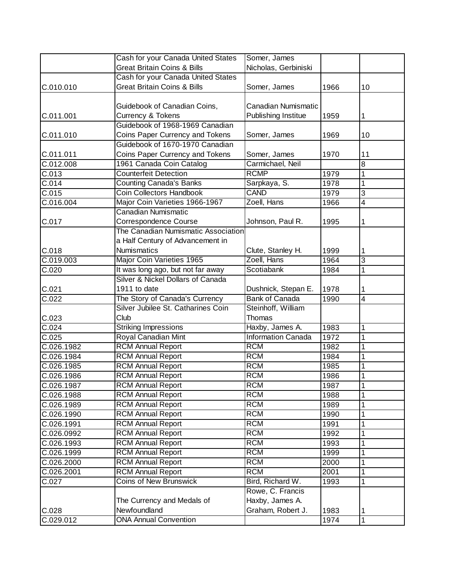|                    | Cash for your Canada United States     | Somer, James              |      |                |
|--------------------|----------------------------------------|---------------------------|------|----------------|
|                    | <b>Great Britain Coins &amp; Bills</b> | Nicholas, Gerbiniski      |      |                |
|                    | Cash for your Canada United States     |                           |      |                |
| C.010.010          | <b>Great Britain Coins &amp; Bills</b> | Somer, James              | 1966 | 10             |
|                    |                                        |                           |      |                |
|                    | Guidebook of Canadian Coins,           | Canadian Numismatic       |      |                |
| C.011.001          | Currency & Tokens                      | Publishing Institue       | 1959 | 1              |
|                    | Guidebook of 1968-1969 Canadian        |                           |      |                |
| C.011.010          | Coins Paper Currency and Tokens        | Somer, James              | 1969 | 10             |
|                    | Guidebook of 1670-1970 Canadian        |                           |      |                |
| C.011.011          | Coins Paper Currency and Tokens        | Somer, James              | 1970 | 11             |
| C.012.008          | 1961 Canada Coin Catalog               | Carmichael, Neil          |      | $\overline{8}$ |
| C.013              | <b>Counterfeit Detection</b>           | <b>RCMP</b>               | 1979 | 1              |
| C.014              | <b>Counting Canada's Banks</b>         | Sarpkaya, S.              | 1978 | 1              |
| C.015              | <b>Coin Collectors Handbook</b>        | <b>CAND</b>               | 1979 | 3              |
| C.016.004          | Major Coin Varieties 1966-1967         | Zoell, Hans               | 1966 | 4              |
|                    | Canadian Numismatic                    |                           |      |                |
| C.017              | Correspondence Course                  | Johnson, Paul R.          | 1995 |                |
|                    | The Canadian Numismatic Association    |                           |      |                |
|                    | a Half Century of Advancement in       |                           |      |                |
| C.018              | Numismatics                            | Clute, Stanley H.         | 1999 | 1              |
| C.019.003          | Major Coin Varieties 1965              | Zoell, Hans               | 1964 | 3              |
| $\overline{C.020}$ | It was long ago, but not far away      | Scotiabank                | 1984 | 1              |
|                    | Silver & Nickel Dollars of Canada      |                           |      |                |
| C.021              | 1911 to date                           | Dushnick, Stepan E.       | 1978 | 1              |
| C.022              | The Story of Canada's Currency         | <b>Bank of Canada</b>     | 1990 | 4              |
|                    | Silver Jubilee St. Catharines Coin     | Steinhoff, William        |      |                |
| C.023              | Club                                   | Thomas                    |      |                |
| C.024              | <b>Striking Impressions</b>            | Haxby, James A.           | 1983 | 1              |
| C.025              | Royal Canadian Mint                    | <b>Information Canada</b> | 1972 | 1              |
| C.026.1982         | <b>RCM Annual Report</b>               | <b>RCM</b>                | 1982 | 1              |
| C.026.1984         | <b>RCM Annual Report</b>               | <b>RCM</b>                | 1984 | 1              |
| C.026.1985         | <b>RCM Annual Report</b>               | <b>RCM</b>                | 1985 | 1              |
| C.026.1986         | <b>RCM Annual Report</b>               | <b>RCM</b>                | 1986 | 1              |
| C.026.1987         | <b>RCM Annual Report</b>               | <b>RCM</b>                | 1987 | $\overline{1}$ |
| C.026.1988         | <b>RCM Annual Report</b>               | <b>RCM</b>                | 1988 | 1              |
| C.026.1989         | <b>RCM Annual Report</b>               | <b>RCM</b>                | 1989 | 1              |
| C.026.1990         | <b>RCM Annual Report</b>               | <b>RCM</b>                | 1990 | 1              |
| C.026.1991         | <b>RCM Annual Report</b>               | <b>RCM</b>                | 1991 | 1              |
| C.026.0992         | <b>RCM Annual Report</b>               | <b>RCM</b>                | 1992 | 1              |
| C.026.1993         | <b>RCM Annual Report</b>               | <b>RCM</b>                | 1993 | 1              |
| C.026.1999         | <b>RCM Annual Report</b>               | <b>RCM</b>                | 1999 | 1              |
| C.026.2000         | <b>RCM Annual Report</b>               | <b>RCM</b>                | 2000 | 1              |
| C.026.2001         | <b>RCM Annual Report</b>               | <b>RCM</b>                | 2001 | 1              |
| C.027              | <b>Coins of New Brunswick</b>          | Bird, Richard W.          | 1993 | 1              |
|                    |                                        | Rowe, C. Francis          |      |                |
|                    | The Currency and Medals of             | Haxby, James A.           |      |                |
| C.028              | Newfoundland                           | Graham, Robert J.         | 1983 | 1              |
| C.029.012          | <b>ONA Annual Convention</b>           |                           | 1974 | $\mathbf 1$    |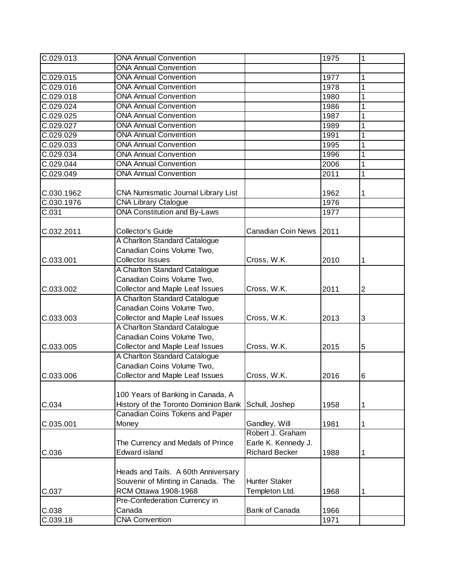| C.029.013  | <b>ONA Annual Convention</b>           |                           | 1975 | 1              |
|------------|----------------------------------------|---------------------------|------|----------------|
|            | <b>ONA Annual Convention</b>           |                           |      |                |
| C.029.015  | <b>ONA Annual Convention</b>           |                           | 1977 | 1              |
| C.029.016  | <b>ONA Annual Convention</b>           |                           | 1978 | 1              |
| C.029.018  | <b>ONA Annual Convention</b>           |                           | 1980 | 1              |
| C.029.024  | <b>ONA Annual Convention</b>           |                           | 1986 | 1              |
| C.029.025  | <b>ONA Annual Convention</b>           |                           | 1987 | 1              |
| C.029.027  | <b>ONA Annual Convention</b>           |                           | 1989 | 1              |
| C.029.029  | <b>ONA Annual Convention</b>           |                           | 1991 | 1              |
| C.029.033  | <b>ONA Annual Convention</b>           |                           | 1995 | 1              |
| C.029.034  | <b>ONA Annual Convention</b>           |                           | 1996 | 1              |
| C.029.044  | <b>ONA Annual Convention</b>           |                           | 2006 | 1              |
| C.029.049  | <b>ONA Annual Convention</b>           |                           | 2011 | 1              |
|            |                                        |                           |      |                |
| C.030.1962 | CNA Numismatic Journal Library List    |                           | 1962 | 1              |
| C.030.1976 | <b>CNA Library Ctalogue</b>            |                           | 1976 |                |
| C.031      | <b>ONA Constitution and By-Laws</b>    |                           | 1977 |                |
|            |                                        |                           |      |                |
| C.032.2011 | Collector's Guide                      | <b>Canadian Coin News</b> | 2011 |                |
|            | A Charlton Standard Catalogue          |                           |      |                |
|            | Canadian Coins Volume Two,             |                           |      |                |
| C.033.001  | <b>Collector Issues</b>                | Cross, W.K.               | 2010 | 1              |
|            | A Charlton Standard Catalogue          |                           |      |                |
|            | Canadian Coins Volume Two,             |                           |      |                |
| C.033.002  | Collector and Maple Leaf Issues        | Cross, W.K.               | 2011 | $\overline{2}$ |
|            | A Charlton Standard Catalogue          |                           |      |                |
|            | Canadian Coins Volume Two,             |                           |      |                |
| C.033.003  | Collector and Maple Leaf Issues        | Cross, W.K.               | 2013 | 3              |
|            | A Charlton Standard Catalogue          |                           |      |                |
|            | Canadian Coins Volume Two,             |                           |      |                |
| C.033.005  | <b>Collector and Maple Leaf Issues</b> | Cross, W.K.               | 2015 | 5              |
|            | A Charlton Standard Catalogue          |                           |      |                |
|            | Canadian Coins Volume Two,             |                           |      |                |
| C.033.006  | <b>Collector and Maple Leaf Issues</b> | Cross, W.K.               | 2016 | $\,6$          |
|            |                                        |                           |      |                |
|            | 100 Years of Banking in Canada, A      |                           |      |                |
| C.034      | History of the Toronto Dominion Bank   | Schull, Joshep            | 1958 | 1              |
|            | Canadian Coins Tokens and Paper        |                           |      |                |
| C.035.001  | Money                                  | Gandley, Will             | 1981 | 1              |
|            |                                        | Robert J. Graham          |      |                |
|            | The Currency and Medals of Prince      | Earle K. Kennedy J.       |      |                |
| C.036      | <b>Edward island</b>                   | <b>Richard Becker</b>     | 1988 | 1              |
|            |                                        |                           |      |                |
|            | Heads and Tails. A 60th Anniversary    |                           |      |                |
|            | Souvenir of Minting in Canada. The     | <b>Hunter Staker</b>      |      |                |
| C.037      | RCM Ottawa 1908-1968                   | Templeton Ltd.            | 1968 | 1              |
|            | Pre-Confederation Currency in          |                           |      |                |
| C.038      | Canada                                 | <b>Bank of Canada</b>     | 1966 |                |
| C.039.18   | <b>CNA Convention</b>                  |                           | 1971 |                |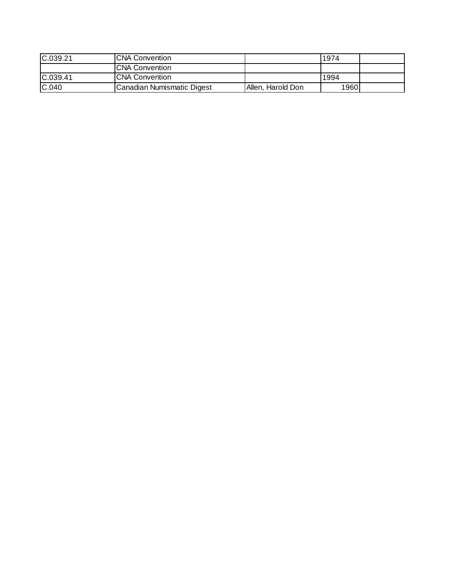| C.039.21 | <b>CNA Convention</b>      |                   | 1974 |  |
|----------|----------------------------|-------------------|------|--|
|          | <b>CNA Convention</b>      |                   |      |  |
| C.039.41 | <b>CNA Convention</b>      |                   | 1994 |  |
| C.040    | Canadian Numismatic Digest | Allen, Harold Don | 1960 |  |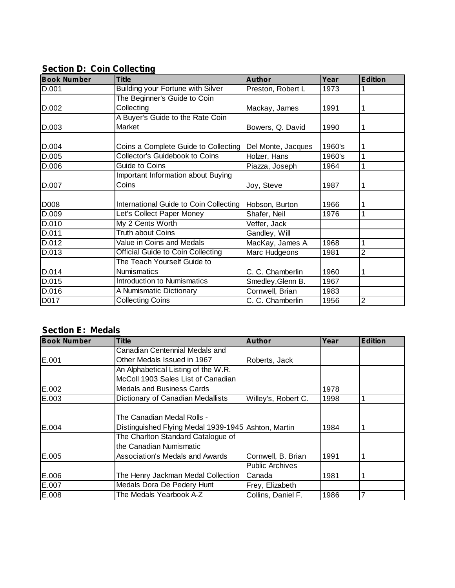| <b>Book Number</b> | <b>Title</b>                             | <b>Author</b>      | Year   | <b>Edition</b> |
|--------------------|------------------------------------------|--------------------|--------|----------------|
| D.001              | <b>Building your Fortune with Silver</b> | Preston, Robert L  | 1973   |                |
|                    | The Beginner's Guide to Coin             |                    |        |                |
| D.002              | Collecting                               | Mackay, James      | 1991   | 1              |
|                    | A Buyer's Guide to the Rate Coin         |                    |        |                |
| D.003              | Market                                   | Bowers, Q. David   | 1990   | 1              |
| D.004              | Coins a Complete Guide to Collecting     | Del Monte, Jacques | 1960's | 1              |
| D.005              | <b>Collector's Guidebook to Coins</b>    | Holzer, Hans       | 1960's | 1              |
| D.006              | Guide to Coins                           | Piazza, Joseph     | 1964   |                |
|                    | Important Information about Buying       |                    |        |                |
| D.007              | Coins                                    | Joy, Steve         | 1987   |                |
| D008               | International Guide to Coin Collecting   | Hobson, Burton     | 1966   |                |
| D.009              | Let's Collect Paper Money                | Shafer, Neil       | 1976   | 1              |
| D.010              | My 2 Cents Worth                         | Veffer, Jack       |        |                |
| D.011              | <b>Truth about Coins</b>                 | Gandley, Will      |        |                |
| D.012              | <b>Value in Coins and Medals</b>         | MacKay, James A.   | 1968   | 1              |
| D.013              | Official Guide to Coin Collecting        | Marc Hudgeons      | 1981   | 2              |
|                    | The Teach Yourself Guide to              |                    |        |                |
| D.014              | <b>Numismatics</b>                       | C. C. Chamberlin   | 1960   | 1              |
| D.015              | <b>Introduction to Numismatics</b>       | Smedley, Glenn B.  | 1967   |                |
| D.016              | A Numismatic Dictionary                  | Cornwell, Brian    | 1983   |                |
| D017               | <b>Collecting Coins</b>                  | C. C. Chamberlin   | 1956   | $\overline{2}$ |

#### **Section D: Coin Collecting**

# **Section E: Medals**

| <b>Book Number</b> | <b>Title</b>                                        | <b>Author</b>          | Year | <b>Edition</b> |
|--------------------|-----------------------------------------------------|------------------------|------|----------------|
|                    | Canadian Centennial Medals and                      |                        |      |                |
| E.001              | Other Medals Issued in 1967                         | Roberts, Jack          |      |                |
|                    | An Alphabetical Listing of the W.R.                 |                        |      |                |
|                    | McColl 1903 Sales List of Canadian                  |                        |      |                |
| E.002              | <b>Medals and Business Cards</b>                    |                        | 1978 |                |
| E.003              | Dictionary of Canadian Medallists                   | Willey's, Robert C.    | 1998 |                |
|                    |                                                     |                        |      |                |
|                    | The Canadian Medal Rolls -                          |                        |      |                |
| E.004              | Distinguished Flying Medal 1939-1945 Ashton, Martin |                        | 1984 |                |
|                    | The Charlton Standard Catalogue of                  |                        |      |                |
|                    | the Canadian Numismatic                             |                        |      |                |
| E.005              | Association's Medals and Awards                     | Cornwell, B. Brian     | 1991 |                |
|                    |                                                     | <b>Public Archives</b> |      |                |
| E.006              | The Henry Jackman Medal Collection                  | Canada                 | 1981 |                |
| E.007              | Medals Dora De Pedery Hunt                          | Frey, Elizabeth        |      |                |
| E.008              | The Medals Yearbook A-Z                             | Collins, Daniel F.     | 1986 |                |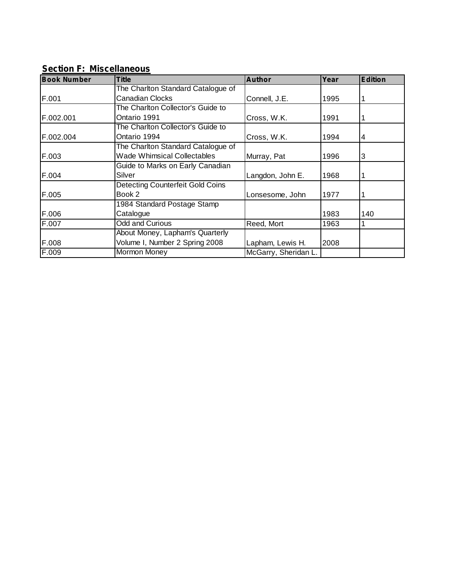| <br><b>Book Number</b> | <b>Title</b>                       | <b>Author</b>        | Year | <b>Edition</b> |
|------------------------|------------------------------------|----------------------|------|----------------|
|                        | The Charlton Standard Catalogue of |                      |      |                |
| F.001                  | <b>Canadian Clocks</b>             | Connell, J.E.        | 1995 |                |
|                        | The Charlton Collector's Guide to  |                      |      |                |
| F.002.001              | Ontario 1991                       | Cross, W.K.          | 1991 |                |
|                        | The Charlton Collector's Guide to  |                      |      |                |
| F.002.004              | Ontario 1994                       | Cross, W.K.          | 1994 | 4              |
|                        | The Charlton Standard Catalogue of |                      |      |                |
| F.003                  | <b>Wade Whimsical Collectables</b> | Murray, Pat          | 1996 | 3              |
|                        | Guide to Marks on Early Canadian   |                      |      |                |
| F.004                  | Silver                             | Langdon, John E.     | 1968 |                |
|                        | Detecting Counterfeit Gold Coins   |                      |      |                |
| F.005                  | Book 2                             | Lonsesome, John      | 1977 |                |
|                        | 1984 Standard Postage Stamp        |                      |      |                |
| F.006                  | Catalogue                          |                      | 1983 | 140            |
| F.007                  | <b>Odd and Curious</b>             | Reed, Mort           | 1963 |                |
|                        | About Money, Lapham's Quarterly    |                      |      |                |
| F.008                  | Volume I, Number 2 Spring 2008     | Lapham, Lewis H.     | 2008 |                |
| F.009                  | Mormon Money                       | McGarry, Sheridan L. |      |                |

#### **Section F: Miscellaneous**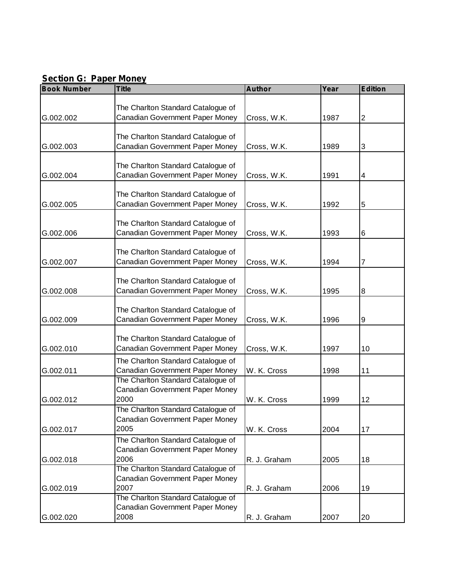#### **Section G: Paper Money**

| <b>Book Number</b> | <b>Title</b>                                                          | <b>Author</b> | Year | <b>Edition</b>          |
|--------------------|-----------------------------------------------------------------------|---------------|------|-------------------------|
|                    |                                                                       |               |      |                         |
|                    | The Charlton Standard Catalogue of                                    |               |      |                         |
| G.002.002          | Canadian Government Paper Money                                       | Cross, W.K.   | 1987 | 2                       |
|                    |                                                                       |               |      |                         |
| G.002.003          | The Charlton Standard Catalogue of<br>Canadian Government Paper Money |               | 1989 | 3                       |
|                    |                                                                       | Cross, W.K.   |      |                         |
|                    | The Charlton Standard Catalogue of                                    |               |      |                         |
| G.002.004          | Canadian Government Paper Money                                       | Cross, W.K.   | 1991 | $\overline{\mathbf{4}}$ |
|                    |                                                                       |               |      |                         |
|                    | The Charlton Standard Catalogue of                                    |               |      |                         |
| G.002.005          | Canadian Government Paper Money                                       | Cross, W.K.   | 1992 | $\overline{5}$          |
|                    |                                                                       |               |      |                         |
|                    | The Charlton Standard Catalogue of                                    |               |      |                         |
| G.002.006          | Canadian Government Paper Money                                       | Cross, W.K.   | 1993 | $6\phantom{1}6$         |
|                    |                                                                       |               |      |                         |
| G.002.007          | The Charlton Standard Catalogue of<br>Canadian Government Paper Money | Cross, W.K.   | 1994 | 7                       |
|                    |                                                                       |               |      |                         |
|                    | The Charlton Standard Catalogue of                                    |               |      |                         |
| G.002.008          | Canadian Government Paper Money                                       | Cross, W.K.   | 1995 | $\overline{8}$          |
|                    |                                                                       |               |      |                         |
|                    | The Charlton Standard Catalogue of                                    |               |      |                         |
| G.002.009          | Canadian Government Paper Money                                       | Cross, W.K.   | 1996 | 9                       |
|                    |                                                                       |               |      |                         |
|                    | The Charlton Standard Catalogue of                                    |               |      |                         |
| G.002.010          | Canadian Government Paper Money                                       | Cross, W.K.   | 1997 | 10                      |
|                    | The Charlton Standard Catalogue of                                    |               |      |                         |
| G.002.011          | Canadian Government Paper Money                                       | W. K. Cross   | 1998 | 11                      |
|                    | The Charlton Standard Catalogue of<br>Canadian Government Paper Money |               |      |                         |
| G.002.012          | 2000                                                                  | W. K. Cross   | 1999 | 12                      |
|                    | The Charlton Standard Catalogue of                                    |               |      |                         |
|                    | Canadian Government Paper Money                                       |               |      |                         |
| G.002.017          | 2005                                                                  | W. K. Cross   | 2004 | 17                      |
|                    | The Charlton Standard Catalogue of                                    |               |      |                         |
|                    | Canadian Government Paper Money                                       |               |      |                         |
| G.002.018          | 2006                                                                  | R. J. Graham  | 2005 | 18                      |
|                    | The Charlton Standard Catalogue of                                    |               |      |                         |
|                    | Canadian Government Paper Money                                       |               |      |                         |
| G.002.019          | 2007                                                                  | R. J. Graham  | 2006 | 19                      |
|                    | The Charlton Standard Catalogue of                                    |               |      |                         |
|                    | Canadian Government Paper Money                                       |               |      |                         |
| G.002.020          | 2008                                                                  | R. J. Graham  | 2007 | 20                      |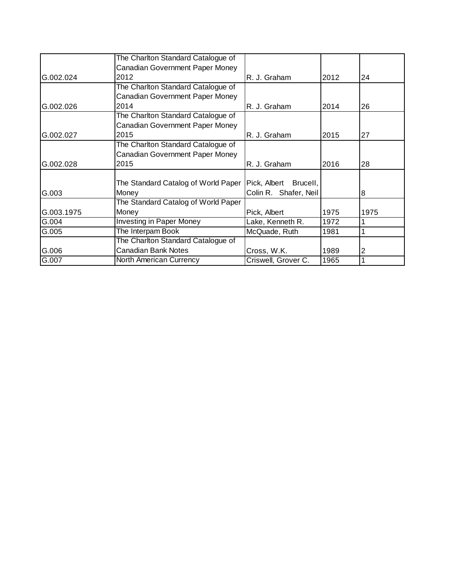|            | The Charlton Standard Catalogue of     |                          |      |      |
|------------|----------------------------------------|--------------------------|------|------|
|            | Canadian Government Paper Money        |                          |      |      |
| G.002.024  | 2012                                   | R. J. Graham             | 2012 | 24   |
|            | The Charlton Standard Catalogue of     |                          |      |      |
|            | Canadian Government Paper Money        |                          |      |      |
| G.002.026  | 2014                                   | R. J. Graham             | 2014 | 26   |
|            | The Charlton Standard Catalogue of     |                          |      |      |
|            | <b>Canadian Government Paper Money</b> |                          |      |      |
| G.002.027  | 2015                                   | R. J. Graham             | 2015 | 27   |
|            | The Charlton Standard Catalogue of     |                          |      |      |
|            | <b>Canadian Government Paper Money</b> |                          |      |      |
| G.002.028  | 2015                                   | R. J. Graham             | 2016 | 28   |
|            |                                        |                          |      |      |
|            | The Standard Catalog of World Paper    | Pick, Albert<br>Brucell, |      |      |
| G.003      | Money                                  | Colin R. Shafer, Neil    |      | 8    |
|            | The Standard Catalog of World Paper    |                          |      |      |
| G.003.1975 | Money                                  | Pick, Albert             | 1975 | 1975 |
| G.004      | <b>Investing in Paper Money</b>        | Lake, Kenneth R.         | 1972 |      |
| G.005      | The Interpam Book                      | McQuade, Ruth            | 1981 |      |
|            | The Charlton Standard Catalogue of     |                          |      |      |
| G.006      | <b>Canadian Bank Notes</b>             | Cross, W.K.              | 1989 | 2    |
|            |                                        |                          |      |      |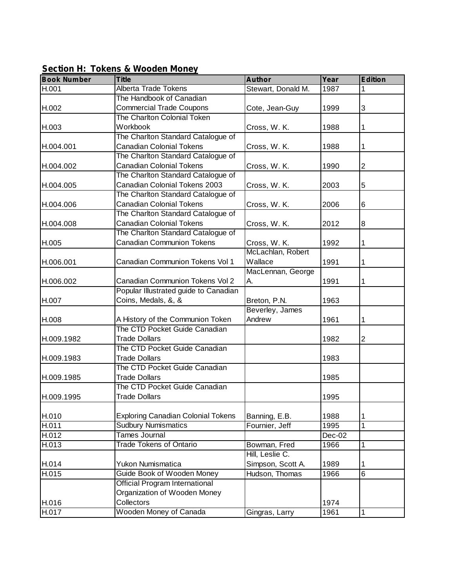| <b>Book Number</b> | <b>Title</b>                              | <b>Author</b>      | Year   | <b>Edition</b> |
|--------------------|-------------------------------------------|--------------------|--------|----------------|
| H.001              | <b>Alberta Trade Tokens</b>               | Stewart, Donald M. | 1987   | 1              |
|                    | The Handbook of Canadian                  |                    |        |                |
| H.002              | <b>Commercial Trade Coupons</b>           | Cote, Jean-Guy     | 1999   | 3              |
|                    | The Charlton Colonial Token               |                    |        |                |
| H.003              | Workbook                                  | Cross, W. K.       | 1988   | 1              |
|                    | The Charlton Standard Catalogue of        |                    |        |                |
| H.004.001          | <b>Canadian Colonial Tokens</b>           | Cross, W. K.       | 1988   | 1              |
|                    | The Charlton Standard Catalogue of        |                    |        |                |
| H.004.002          | <b>Canadian Colonial Tokens</b>           | Cross, W. K.       | 1990   | $\overline{2}$ |
|                    | The Charlton Standard Catalogue of        |                    |        |                |
| H.004.005          | Canadian Colonial Tokens 2003             | Cross, W. K.       | 2003   | 5              |
|                    | The Charlton Standard Catalogue of        |                    |        |                |
| H.004.006          | <b>Canadian Colonial Tokens</b>           | Cross, W. K.       | 2006   | 6              |
|                    | The Charlton Standard Catalogue of        |                    |        |                |
| H.004.008          | <b>Canadian Colonial Tokens</b>           | Cross, W. K.       | 2012   | 8              |
|                    | The Charlton Standard Catalogue of        |                    |        |                |
| H.005              | <b>Canadian Communion Tokens</b>          | Cross, W. K.       | 1992   | 1              |
|                    |                                           | McLachlan, Robert  |        |                |
| H.006.001          | Canadian Communion Tokens Vol 1           | Wallace            | 1991   | 1              |
|                    |                                           | MacLennan, George  |        |                |
| H.006.002          | Canadian Communion Tokens Vol 2           | А.                 | 1991   | 1              |
|                    | Popular Illustrated guide to Canadian     |                    |        |                |
| H.007              | Coins, Medals, &, &                       | Breton, P.N.       | 1963   |                |
|                    |                                           | Beverley, James    |        |                |
| H.008              | A History of the Communion Token          | Andrew             | 1961   | 1              |
|                    | The CTD Pocket Guide Canadian             |                    |        |                |
| H.009.1982         | <b>Trade Dollars</b>                      |                    | 1982   | $\overline{2}$ |
|                    | The CTD Pocket Guide Canadian             |                    |        |                |
| H.009.1983         | <b>Trade Dollars</b>                      |                    | 1983   |                |
|                    | The CTD Pocket Guide Canadian             |                    |        |                |
| H.009.1985         | <b>Trade Dollars</b>                      |                    | 1985   |                |
|                    | The CTD Pocket Guide Canadian             |                    |        |                |
| H.009.1995         | <b>Trade Dollars</b>                      |                    | 1995   |                |
|                    |                                           |                    |        |                |
| H.010              | <b>Exploring Canadian Colonial Tokens</b> | Banning, E.B.      | 1988   | 1              |
| H.011              | <b>Sudbury Numismatics</b>                | Fournier, Jeff     | 1995   | $\mathbf 1$    |
| H.012              | <b>Tames Journal</b>                      |                    | Dec-02 |                |
| H.013              | <b>Trade Tokens of Ontario</b>            | Bowman, Fred       | 1966   | 1              |
|                    |                                           | Hill, Leslie C.    |        |                |
| H.014              | Yukon Numismatica                         | Simpson, Scott A.  | 1989   | 1              |
| H.015              | Guide Book of Wooden Money                | Hudson, Thomas     | 1966   | $\overline{6}$ |
|                    | Official Program International            |                    |        |                |
|                    | Organization of Wooden Money              |                    |        |                |
| H.016              | Collectors                                |                    | 1974   |                |
| H.017              | <b>Wooden Money of Canada</b>             | Gingras, Larry     | 1961   | $\mathbf 1$    |

**Section H: Tokens & Wooden Money**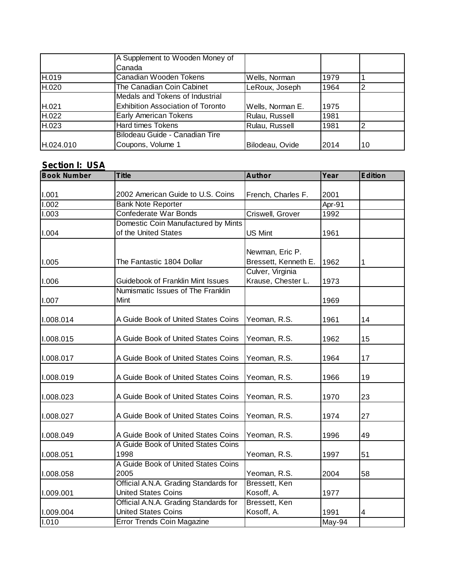|           | A Supplement to Wooden Money of          |                  |      |    |
|-----------|------------------------------------------|------------------|------|----|
|           | Canada                                   |                  |      |    |
| H.019     | Canadian Wooden Tokens                   | Wells, Norman    | 1979 |    |
| H.020     | The Canadian Coin Cabinet                | LeRoux, Joseph   | 1964 | ົ  |
|           | Medals and Tokens of Industrial          |                  |      |    |
| H.021     | <b>Exhibition Association of Toronto</b> | Wells, Norman E. | 1975 |    |
| H.022     | Early American Tokens                    | Rulau, Russell   | 1981 |    |
| H.023     | <b>Hard times Tokens</b>                 | Rulau, Russell   | 1981 |    |
|           | Bilodeau Guide - Canadian Tire           |                  |      |    |
| H.024.010 | Coupons, Volume 1                        | Bilodeau, Ovide  | 2014 | 10 |

# **Section I: USA**

| <b>Book Number</b> | <b>Title</b>                          | <b>Author</b>        | Year   | <b>Edition</b> |
|--------------------|---------------------------------------|----------------------|--------|----------------|
|                    |                                       |                      |        |                |
| I.001              | 2002 American Guide to U.S. Coins     | French, Charles F.   | 2001   |                |
| 1.002              | <b>Bank Note Reporter</b>             |                      | Apr-91 |                |
| 1.003              | Confederate War Bonds                 | Criswell, Grover     | 1992   |                |
|                    | Domestic Coin Manufactured by Mints   |                      |        |                |
| 1.004              | of the United States                  | <b>US Mint</b>       | 1961   |                |
|                    |                                       |                      |        |                |
|                    |                                       | Newman, Eric P.      |        |                |
| 1.005              | The Fantastic 1804 Dollar             | Bressett, Kenneth E. | 1962   |                |
|                    |                                       | Culver, Virginia     |        |                |
| 1.006              | Guidebook of Franklin Mint Issues     | Krause, Chester L.   | 1973   |                |
|                    | Numismatic Issues of The Franklin     |                      |        |                |
| 1.007              | Mint                                  |                      | 1969   |                |
|                    |                                       |                      |        |                |
| 1.008.014          | A Guide Book of United States Coins   | Yeoman, R.S.         | 1961   | 14             |
|                    |                                       |                      |        |                |
| 1.008.015          | A Guide Book of United States Coins   | Yeoman, R.S.         | 1962   | 15             |
|                    |                                       |                      |        |                |
| 1.008.017          | A Guide Book of United States Coins   | Yeoman, R.S.         | 1964   | 17             |
|                    | A Guide Book of United States Coins   | Yeoman, R.S.         |        | 19             |
| 1.008.019          |                                       |                      | 1966   |                |
| 1.008.023          | A Guide Book of United States Coins   | Yeoman, R.S.         | 1970   | 23             |
|                    |                                       |                      |        |                |
| I.008.027          | A Guide Book of United States Coins   | Yeoman, R.S.         | 1974   | 27             |
|                    |                                       |                      |        |                |
| I.008.049          | A Guide Book of United States Coins   | Yeoman, R.S.         | 1996   | 49             |
|                    | A Guide Book of United States Coins   |                      |        |                |
| I.008.051          | 1998                                  | Yeoman, R.S.         | 1997   | 51             |
|                    | A Guide Book of United States Coins   |                      |        |                |
| 1.008.058          | 2005                                  | Yeoman, R.S.         | 2004   | 58             |
|                    | Official A.N.A. Grading Standards for | Bressett, Ken        |        |                |
| I.009.001          | <b>United States Coins</b>            | Kosoff, A.           | 1977   |                |
|                    | Official A.N.A. Grading Standards for | Bressett, Ken        |        |                |
| 1.009.004          | <b>United States Coins</b>            | Kosoff, A.           | 1991   | 4              |
| 1.010              | <b>Error Trends Coin Magazine</b>     |                      | May-94 |                |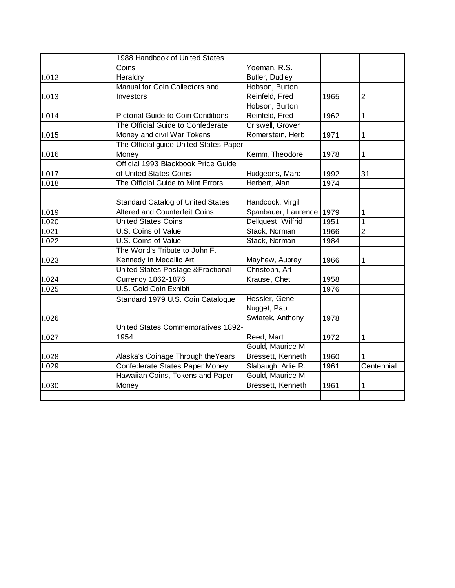|       | 1988 Handbook of United States            |                     |      |                |
|-------|-------------------------------------------|---------------------|------|----------------|
|       | Coins                                     | Yoeman, R.S.        |      |                |
| 1.012 | Heraldry                                  | Butler, Dudley      |      |                |
|       | Manual for Coin Collectors and            | Hobson, Burton      |      |                |
| 1.013 | Investors                                 | Reinfeld, Fred      | 1965 | $\overline{c}$ |
|       |                                           | Hobson, Burton      |      |                |
| 1.014 | <b>Pictorial Guide to Coin Conditions</b> | Reinfeld, Fred      | 1962 | 1              |
|       | The Official Guide to Confederate         | Criswell, Grover    |      |                |
| 1.015 | Money and civil War Tokens                | Romerstein, Herb    | 1971 | 1              |
|       | The Official guide United States Paper    |                     |      |                |
| 1.016 | Money                                     | Kemm, Theodore      | 1978 | 1              |
|       | Official 1993 Blackbook Price Guide       |                     |      |                |
| 1.017 | of United States Coins                    | Hudgeons, Marc      | 1992 | 31             |
| 1.018 | The Official Guide to Mint Errors         | Herbert, Alan       | 1974 |                |
|       |                                           |                     |      |                |
|       | <b>Standard Catalog of United States</b>  | Handcock, Virgil    |      |                |
| 1.019 | <b>Altered and Counterfeit Coins</b>      | Spanbauer, Laurence | 1979 | 1              |
| 1.020 | <b>United States Coins</b>                | Dellquest, Wilfrid  | 1951 | 1              |
| 1.021 | <b>U.S. Coins of Value</b>                | Stack, Norman       | 1966 | 2              |
| 1.022 | U.S. Coins of Value                       | Stack, Norman       | 1984 |                |
|       | The World's Tribute to John F.            |                     |      |                |
| 1.023 | Kennedy in Medallic Art                   | Mayhew, Aubrey      | 1966 | 1              |
|       | United States Postage & Fractional        | Christoph, Art      |      |                |
| 1.024 | <b>Currency 1862-1876</b>                 | Krause, Chet        | 1958 |                |
| 1.025 | U.S. Gold Coin Exhibit                    |                     | 1976 |                |
|       | Standard 1979 U.S. Coin Catalogue         | Hessler, Gene       |      |                |
|       |                                           | Nugget, Paul        |      |                |
| 1.026 |                                           | Swiatek, Anthony    | 1978 |                |
|       | <b>United States Commemoratives 1892-</b> |                     |      |                |
| 1.027 | 1954                                      | Reed, Mart          | 1972 | 1              |
|       |                                           | Gould, Maurice M.   |      |                |
| 1.028 | Alaska's Coinage Through the Years        | Bressett, Kenneth   | 1960 |                |
| 1.029 | Confederate States Paper Money            | Slabaugh, Arlie R.  | 1961 | Centennial     |
|       | Hawaiian Coins, Tokens and Paper          | Gould, Maurice M.   |      |                |
| 1.030 | Money                                     | Bressett, Kenneth   | 1961 | 1              |
|       |                                           |                     |      |                |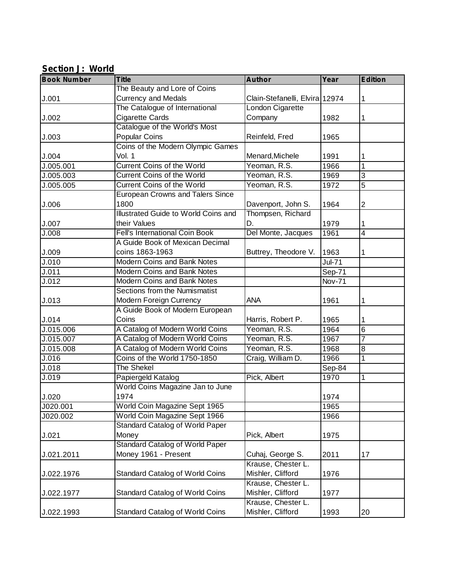## **Section J: World**

| <b>Book Number</b> | <b>Title</b>                            | <b>Author</b>                  | Year          | <b>Edition</b>          |
|--------------------|-----------------------------------------|--------------------------------|---------------|-------------------------|
|                    | The Beauty and Lore of Coins            |                                |               |                         |
| J.001              | <b>Currency and Medals</b>              | Clain-Stefanelli, Elvira 12974 |               | 1                       |
|                    | The Catalogue of International          | London Cigarette               |               |                         |
| J.002              | Cigarette Cards                         | Company                        | 1982          | 1                       |
|                    | Catalogue of the World's Most           |                                |               |                         |
| J.003              | <b>Popular Coins</b>                    | Reinfeld, Fred                 | 1965          |                         |
|                    | Coins of the Modern Olympic Games       |                                |               |                         |
| J.004              | Vol. 1                                  | Menard, Michele                | 1991          | 1                       |
| J.005.001          | <b>Current Coins of the World</b>       | Yeoman, R.S.                   | 1966          | $\mathbf 1$             |
| J.005.003          | <b>Current Coins of the World</b>       | Yeoman, R.S.                   | 1969          | $\overline{3}$          |
| J.005.005          | Current Coins of the World              | Yeoman, R.S.                   | 1972          | 5                       |
|                    | <b>European Crowns and Talers Since</b> |                                |               |                         |
| J.006              | 1800                                    | Davenport, John S.             | 1964          | 2                       |
|                    | Illustrated Guide to World Coins and    | Thompsen, Richard              |               |                         |
| J.007              | their Values                            | D.                             | 1979          | 1                       |
| J.008              | <b>Fell's International Coin Book</b>   | Del Monte, Jacques             | 1961          | $\overline{\mathbf{4}}$ |
|                    | A Guide Book of Mexican Decimal         |                                |               |                         |
| J.009              | coins 1863-1963                         | Buttrey, Theodore V.           | 1963          | 1                       |
| $\overline{J.010}$ | <b>Modern Coins and Bank Notes</b>      |                                | Jul-71        |                         |
| J.011              | Modern Coins and Bank Notes             |                                | Sep-71        |                         |
| J.012              | Modern Coins and Bank Notes             |                                | <b>Nov-71</b> |                         |
|                    | Sections from the Numismatist           |                                |               |                         |
| J.013              | Modern Foreign Currency                 | <b>ANA</b>                     | 1961          | 1                       |
|                    | A Guide Book of Modern European         |                                |               |                         |
| J.014              | Coins                                   | Harris, Robert P.              | 1965          | 1                       |
| J.015.006          | A Catalog of Modern World Coins         | Yeoman, R.S.                   | 1964          | 6                       |
| J.015.007          | A Catalog of Modern World Coins         | Yeoman, R.S.                   | 1967          | $\overline{7}$          |
| J.015.008          | A Catalog of Modern World Coins         | Yeoman, R.S.                   | 1968          | 8                       |
| J.016              | Coins of the World 1750-1850            | Craig, William D.              | 1966          | 1                       |
| J.018              | The Shekel                              |                                | Sep-84        |                         |
| J.019              | Papiergeld Katalog                      | Pick, Albert                   | 1970          | 1                       |
|                    | World Coins Magazine Jan to June        |                                |               |                         |
| J.020              | 1974                                    |                                | 1974          |                         |
| J020.001           | World Coin Magazine Sept 1965           |                                | 1965          |                         |
| J020.002           | World Coin Magazine Sept 1966           |                                | 1966          |                         |
|                    | <b>Standard Catalog of World Paper</b>  |                                |               |                         |
| J.021              | Money                                   | Pick, Albert                   | 1975          |                         |
|                    | <b>Standard Catalog of World Paper</b>  |                                |               |                         |
| J.021.2011         | Money 1961 - Present                    | Cuhaj, George S.               | 2011          | 17                      |
|                    |                                         | Krause, Chester L.             |               |                         |
| J.022.1976         | <b>Standard Catalog of World Coins</b>  | Mishler, Clifford              | 1976          |                         |
|                    |                                         | Krause, Chester L.             |               |                         |
| J.022.1977         | Standard Catalog of World Coins         | Mishler, Clifford              | 1977          |                         |
|                    |                                         | Krause, Chester L.             |               |                         |
| J.022.1993         | <b>Standard Catalog of World Coins</b>  | Mishler, Clifford              | 1993          | 20                      |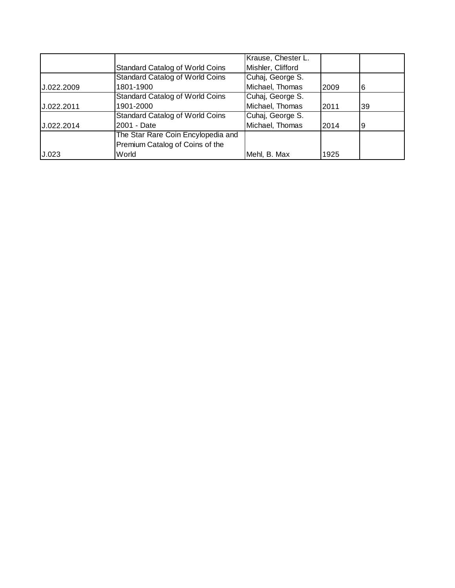|            |                                        | Krause, Chester L. |      |    |
|------------|----------------------------------------|--------------------|------|----|
|            | <b>Standard Catalog of World Coins</b> | Mishler, Clifford  |      |    |
|            | <b>Standard Catalog of World Coins</b> | Cuhaj, George S.   |      |    |
| U.022.2009 | 1801-1900                              | Michael, Thomas    | 2009 | 6  |
|            | <b>Standard Catalog of World Coins</b> | Cuhaj, George S.   |      |    |
| J.022.2011 | 1901-2000                              | Michael, Thomas    | 2011 | 39 |
|            | <b>Standard Catalog of World Coins</b> | Cuhaj, George S.   |      |    |
| J.022.2014 | 2001 - Date                            | Michael, Thomas    | 2014 | 19 |
|            | The Star Rare Coin Encylopedia and     |                    |      |    |
|            | Premium Catalog of Coins of the        |                    |      |    |
| J.023      | World                                  | Mehl, B. Max       | 1925 |    |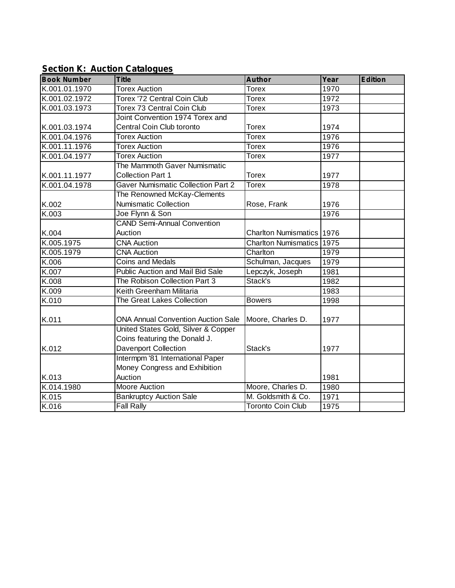# **Section K: Auction Catalogues**

| <b>Book Number</b> | <b>Title</b>                                                         | <b>Author</b>                    | Year | <b>Edition</b> |
|--------------------|----------------------------------------------------------------------|----------------------------------|------|----------------|
| K.001.01.1970      | <b>Torex Auction</b>                                                 | <b>Torex</b>                     | 1970 |                |
| K.001.02.1972      | Torex '72 Central Coin Club                                          | 1972<br><b>Torex</b>             |      |                |
| K.001.03.1973      | Torex 73 Central Coin Club                                           | <b>Torex</b>                     | 1973 |                |
|                    | Joint Convention 1974 Torex and                                      |                                  |      |                |
| K.001.03.1974      | Central Coin Club toronto                                            | <b>Torex</b>                     | 1974 |                |
| K.001.04.1976      | <b>Torex Auction</b>                                                 | <b>Torex</b>                     | 1976 |                |
| K.001.11.1976      | <b>Torex Auction</b>                                                 | <b>Torex</b>                     | 1976 |                |
| K.001.04.1977      | <b>Torex Auction</b>                                                 | Torex                            | 1977 |                |
|                    | The Mammoth Gaver Numismatic                                         |                                  |      |                |
| K.001.11.1977      | <b>Collection Part 1</b>                                             | <b>Torex</b>                     | 1977 |                |
| K.001.04.1978      | <b>Gaver Numismatic Collection Part 2</b>                            | <b>Torex</b>                     | 1978 |                |
|                    | The Renowned McKay-Clements                                          |                                  |      |                |
| K.002              | <b>Numismatic Collection</b>                                         | Rose, Frank                      | 1976 |                |
| K.003              | Joe Flynn & Son                                                      |                                  | 1976 |                |
|                    | <b>CAND Semi-Annual Convention</b>                                   |                                  |      |                |
| K.004              | Auction                                                              | Charlton Numismatics 1976        |      |                |
| K.005.1975         | <b>CNA Auction</b>                                                   | <b>Charlton Numismatics 1975</b> |      |                |
| K.005.1979         | <b>CNA Auction</b>                                                   | Charlton                         | 1979 |                |
| K.006              | <b>Coins and Medals</b>                                              | Schulman, Jacques                | 1979 |                |
| K.007              | <b>Public Auction and Mail Bid Sale</b>                              | Lepczyk, Joseph                  | 1981 |                |
| K.008              | The Robison Collection Part 3                                        | Stack's                          | 1982 |                |
| K.009              | Keith Greenham Militaria                                             |                                  | 1983 |                |
| K.010              | <b>The Great Lakes Collection</b>                                    | <b>Bowers</b>                    | 1998 |                |
| K.011              | <b>ONA Annual Convention Auction Sale</b>                            | Moore, Charles D.                | 1977 |                |
|                    | United States Gold, Silver & Copper<br>Coins featuring the Donald J. |                                  |      |                |
| K.012              | <b>Davenport Collection</b>                                          | Stack's                          | 1977 |                |
|                    | Intermpm '81 International Paper                                     |                                  |      |                |
|                    | Money Congress and Exhibition                                        |                                  |      |                |
| K.013              | Auction                                                              |                                  | 1981 |                |
| K.014.1980         | <b>Moore Auction</b>                                                 | Moore, Charles D.                | 1980 |                |
| K.015              | <b>Bankruptcy Auction Sale</b>                                       | M. Goldsmith & Co.               | 1971 |                |
| K.016              | <b>Fall Rally</b>                                                    | <b>Toronto Coin Club</b>         | 1975 |                |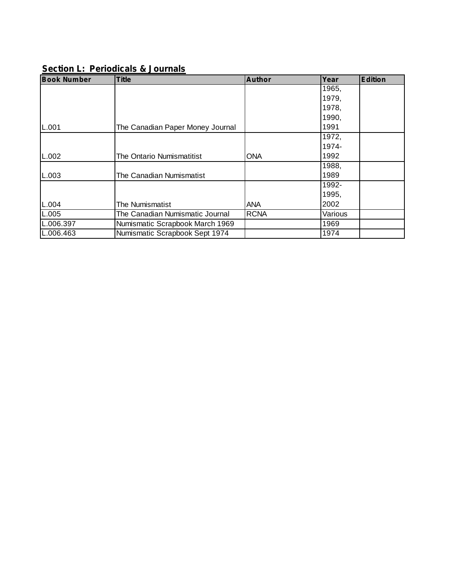# **Section L: Periodicals & Journals**

| <b>Book Number</b> | <b>Title</b>                     | <b>Author</b> | Year    | <b>Edition</b> |
|--------------------|----------------------------------|---------------|---------|----------------|
|                    |                                  |               | 1965,   |                |
|                    |                                  |               | 1979,   |                |
|                    |                                  |               | 1978,   |                |
|                    |                                  |               | 1990,   |                |
| L.001              | The Canadian Paper Money Journal |               | 1991    |                |
|                    |                                  |               | 1972,   |                |
|                    |                                  |               | 1974-   |                |
| L.002              | The Ontario Numismatitist        | ONA           | 1992    |                |
|                    |                                  |               | 1988,   |                |
| L.003              | The Canadian Numismatist         |               | 1989    |                |
|                    |                                  |               | 1992-   |                |
|                    |                                  |               | 1995,   |                |
| L.004              | The Numismatist                  | ANA           | 2002    |                |
| L.005              | The Canadian Numismatic Journal  | <b>RCNA</b>   | Various |                |
| L.006.397          | Numismatic Scrapbook March 1969  |               | 1969    |                |
| L.006.463          | Numismatic Scrapbook Sept 1974   |               | 1974    |                |